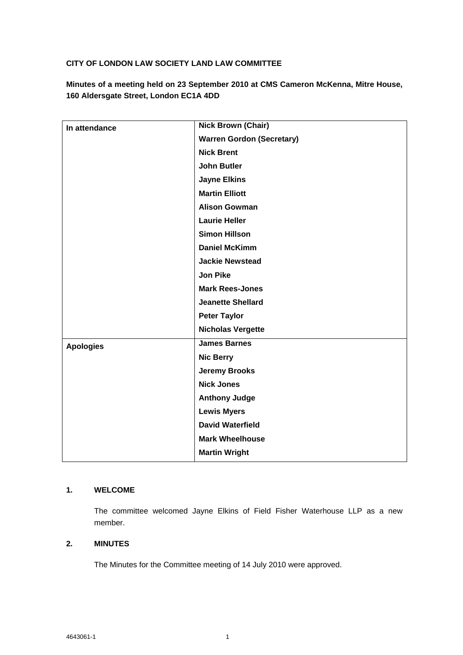## **CITY OF LONDON LAW SOCIETY LAND LAW COMMITTEE**

**Minutes of a meeting held on 23 September 2010 at CMS Cameron McKenna, Mitre House, 160 Aldersgate Street, London EC1A 4DD**

| In attendance    | <b>Nick Brown (Chair)</b>        |
|------------------|----------------------------------|
|                  | <b>Warren Gordon (Secretary)</b> |
|                  | <b>Nick Brent</b>                |
|                  | <b>John Butler</b>               |
|                  | <b>Jayne Elkins</b>              |
|                  | <b>Martin Elliott</b>            |
|                  | <b>Alison Gowman</b>             |
|                  | <b>Laurie Heller</b>             |
|                  | <b>Simon Hillson</b>             |
|                  | <b>Daniel McKimm</b>             |
|                  | <b>Jackie Newstead</b>           |
|                  | <b>Jon Pike</b>                  |
|                  | <b>Mark Rees-Jones</b>           |
|                  | <b>Jeanette Shellard</b>         |
|                  | <b>Peter Taylor</b>              |
|                  | <b>Nicholas Vergette</b>         |
| <b>Apologies</b> | <b>James Barnes</b>              |
|                  | <b>Nic Berry</b>                 |
|                  | <b>Jeremy Brooks</b>             |
|                  | <b>Nick Jones</b>                |
|                  | <b>Anthony Judge</b>             |
|                  | <b>Lewis Myers</b>               |
|                  | <b>David Waterfield</b>          |
|                  | <b>Mark Wheelhouse</b>           |
|                  | <b>Martin Wright</b>             |

# **1. WELCOME**

The committee welcomed Jayne Elkins of Field Fisher Waterhouse LLP as a new member.

## **2. MINUTES**

The Minutes for the Committee meeting of 14 July 2010 were approved.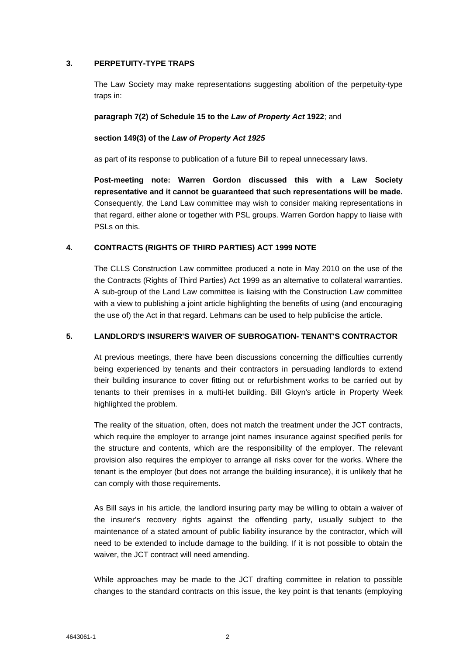### **3. PERPETUITY-TYPE TRAPS**

The Law Society may make representations suggesting abolition of the perpetuity-type traps in:

#### **paragraph 7(2) of Schedule 15 to the** *Law of Property Act* **1922**; and

#### **section 149(3) of the** *Law of Property Act 1925*

as part of its response to publication of a future Bill to repeal unnecessary laws.

**Post-meeting note: Warren Gordon discussed this with a Law Society representative and it cannot be guaranteed that such representations will be made.**  Consequently, the Land Law committee may wish to consider making representations in that regard, either alone or together with PSL groups. Warren Gordon happy to liaise with PSLs on this.

#### **4. CONTRACTS (RIGHTS OF THIRD PARTIES) ACT 1999 NOTE**

The CLLS Construction Law committee produced a note in May 2010 on the use of the the Contracts (Rights of Third Parties) Act 1999 as an alternative to collateral warranties. A sub-group of the Land Law committee is liaising with the Construction Law committee with a view to publishing a joint article highlighting the benefits of using (and encouraging the use of) the Act in that regard. Lehmans can be used to help publicise the article.

#### **5. LANDLORD'S INSURER'S WAIVER OF SUBROGATION- TENANT'S CONTRACTOR**

At previous meetings, there have been discussions concerning the difficulties currently being experienced by tenants and their contractors in persuading landlords to extend their building insurance to cover fitting out or refurbishment works to be carried out by tenants to their premises in a multi-let building. Bill Gloyn's article in Property Week highlighted the problem.

The reality of the situation, often, does not match the treatment under the JCT contracts, which require the employer to arrange joint names insurance against specified perils for the structure and contents, which are the responsibility of the employer. The relevant provision also requires the employer to arrange all risks cover for the works. Where the tenant is the employer (but does not arrange the building insurance), it is unlikely that he can comply with those requirements.

As Bill says in his article, the landlord insuring party may be willing to obtain a waiver of the insurer's recovery rights against the offending party, usually subject to the maintenance of a stated amount of public liability insurance by the contractor, which will need to be extended to include damage to the building. If it is not possible to obtain the waiver, the JCT contract will need amending.

While approaches may be made to the JCT drafting committee in relation to possible changes to the standard contracts on this issue, the key point is that tenants (employing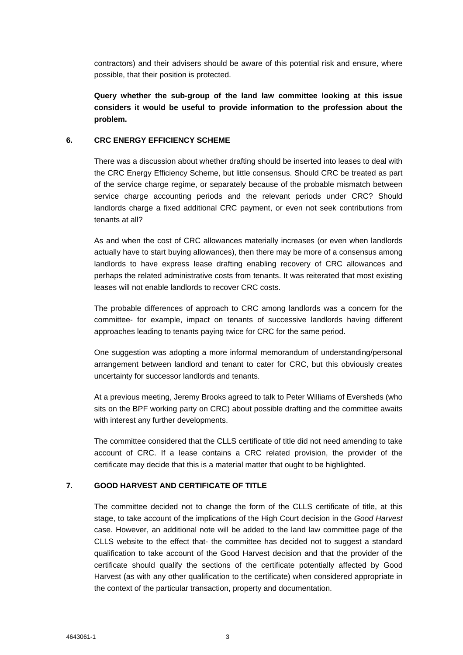contractors) and their advisers should be aware of this potential risk and ensure, where possible, that their position is protected.

**Query whether the sub-group of the land law committee looking at this issue considers it would be useful to provide information to the profession about the problem.** 

#### **6. CRC ENERGY EFFICIENCY SCHEME**

There was a discussion about whether drafting should be inserted into leases to deal with the CRC Energy Efficiency Scheme, but little consensus. Should CRC be treated as part of the service charge regime, or separately because of the probable mismatch between service charge accounting periods and the relevant periods under CRC? Should landlords charge a fixed additional CRC payment, or even not seek contributions from tenants at all?

As and when the cost of CRC allowances materially increases (or even when landlords actually have to start buying allowances), then there may be more of a consensus among landlords to have express lease drafting enabling recovery of CRC allowances and perhaps the related administrative costs from tenants. It was reiterated that most existing leases will not enable landlords to recover CRC costs.

The probable differences of approach to CRC among landlords was a concern for the committee- for example, impact on tenants of successive landlords having different approaches leading to tenants paying twice for CRC for the same period.

One suggestion was adopting a more informal memorandum of understanding/personal arrangement between landlord and tenant to cater for CRC, but this obviously creates uncertainty for successor landlords and tenants.

At a previous meeting, Jeremy Brooks agreed to talk to Peter Williams of Eversheds (who sits on the BPF working party on CRC) about possible drafting and the committee awaits with interest any further developments.

The committee considered that the CLLS certificate of title did not need amending to take account of CRC. If a lease contains a CRC related provision, the provider of the certificate may decide that this is a material matter that ought to be highlighted.

#### **7. GOOD HARVEST AND CERTIFICATE OF TITLE**

The committee decided not to change the form of the CLLS certificate of title, at this stage, to take account of the implications of the High Court decision in the *Good Harvest*  case. However, an additional note will be added to the land law committee page of the CLLS website to the effect that- the committee has decided not to suggest a standard qualification to take account of the Good Harvest decision and that the provider of the certificate should qualify the sections of the certificate potentially affected by Good Harvest (as with any other qualification to the certificate) when considered appropriate in the context of the particular transaction, property and documentation.